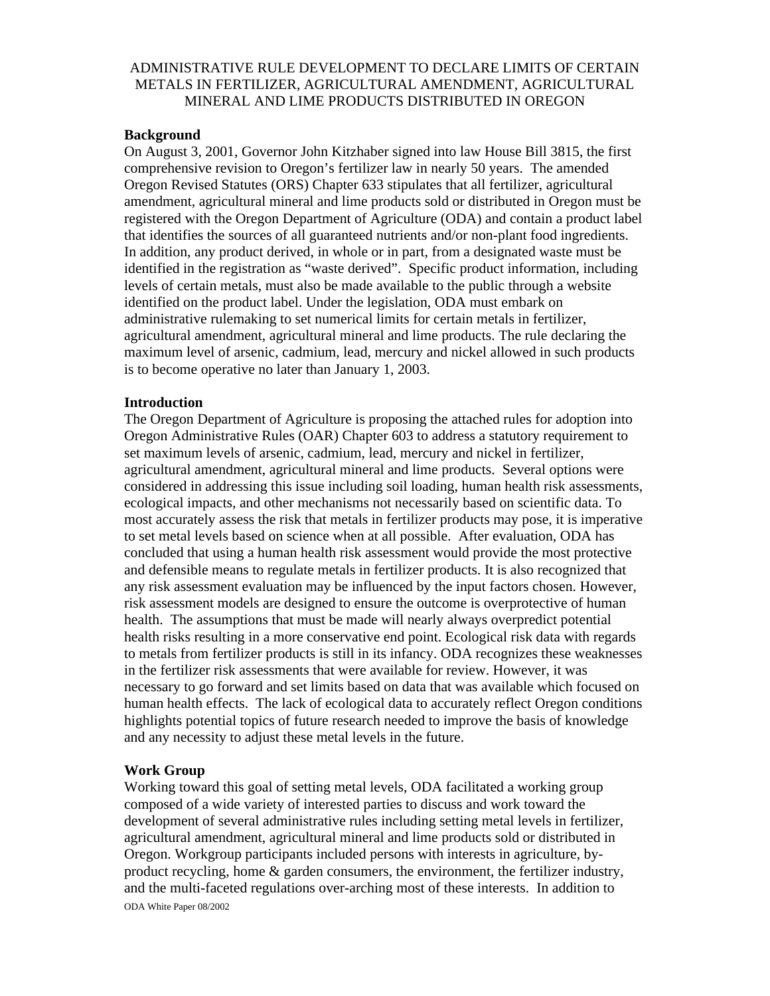# ADMINISTRATIVE RULE DEVELOPMENT TO DECLARE LIMITS OF CERTAIN METALS IN FERTILIZER, AGRICULTURAL AMENDMENT, AGRICULTURAL MINERAL AND LIME PRODUCTS DISTRIBUTED IN OREGON

## **Background**

On August 3, 2001, Governor John Kitzhaber signed into law House Bill 3815, the first comprehensive revision to Oregon's fertilizer law in nearly 50 years. The amended Oregon Revised Statutes (ORS) Chapter 633 stipulates that all fertilizer, agricultural amendment, agricultural mineral and lime products sold or distributed in Oregon must be registered with the Oregon Department of Agriculture (ODA) and contain a product label that identifies the sources of all guaranteed nutrients and/or non-plant food ingredients. In addition, any product derived, in whole or in part, from a designated waste must be identified in the registration as "waste derived". Specific product information, including levels of certain metals, must also be made available to the public through a website identified on the product label. Under the legislation, ODA must embark on administrative rulemaking to set numerical limits for certain metals in fertilizer, agricultural amendment, agricultural mineral and lime products. The rule declaring the maximum level of arsenic, cadmium, lead, mercury and nickel allowed in such products is to become operative no later than January 1, 2003.

### **Introduction**

The Oregon Department of Agriculture is proposing the attached rules for adoption into Oregon Administrative Rules (OAR) Chapter 603 to address a statutory requirement to set maximum levels of arsenic, cadmium, lead, mercury and nickel in fertilizer, agricultural amendment, agricultural mineral and lime products. Several options were considered in addressing this issue including soil loading, human health risk assessments, ecological impacts, and other mechanisms not necessarily based on scientific data. To most accurately assess the risk that metals in fertilizer products may pose, it is imperative to set metal levels based on science when at all possible. After evaluation, ODA has concluded that using a human health risk assessment would provide the most protective and defensible means to regulate metals in fertilizer products. It is also recognized that any risk assessment evaluation may be influenced by the input factors chosen. However, risk assessment models are designed to ensure the outcome is overprotective of human health. The assumptions that must be made will nearly always overpredict potential health risks resulting in a more conservative end point. Ecological risk data with regards to metals from fertilizer products is still in its infancy. ODA recognizes these weaknesses in the fertilizer risk assessments that were available for review. However, it was necessary to go forward and set limits based on data that was available which focused on human health effects. The lack of ecological data to accurately reflect Oregon conditions highlights potential topics of future research needed to improve the basis of knowledge and any necessity to adjust these metal levels in the future.

### **Work Group**

Working toward this goal of setting metal levels, ODA facilitated a working group composed of a wide variety of interested parties to discuss and work toward the development of several administrative rules including setting metal levels in fertilizer, agricultural amendment, agricultural mineral and lime products sold or distributed in Oregon. Workgroup participants included persons with interests in agriculture, byproduct recycling, home & garden consumers, the environment, the fertilizer industry, and the multi-faceted regulations over-arching most of these interests. In addition to

ODA White Paper 08/2002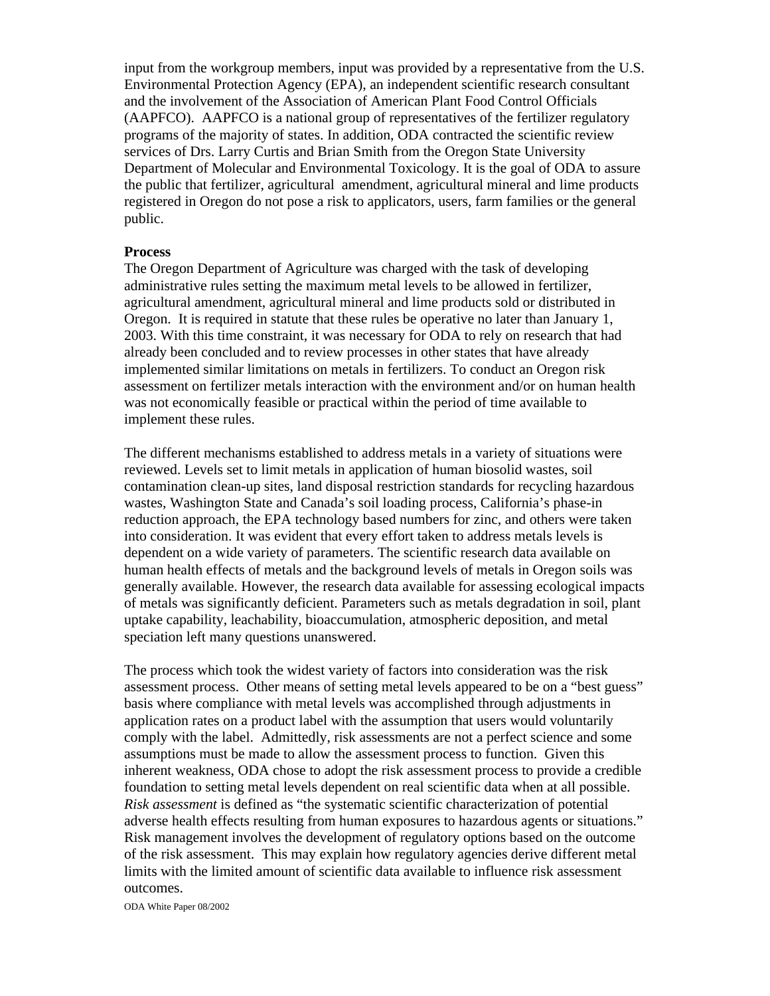input from the workgroup members, input was provided by a representative from the U.S. Environmental Protection Agency (EPA), an independent scientific research consultant and the involvement of the Association of American Plant Food Control Officials (AAPFCO). AAPFCO is a national group of representatives of the fertilizer regulatory programs of the majority of states. In addition, ODA contracted the scientific review services of Drs. Larry Curtis and Brian Smith from the Oregon State University Department of Molecular and Environmental Toxicology. It is the goal of ODA to assure the public that fertilizer, agricultural amendment, agricultural mineral and lime products registered in Oregon do not pose a risk to applicators, users, farm families or the general public.

### **Process**

The Oregon Department of Agriculture was charged with the task of developing administrative rules setting the maximum metal levels to be allowed in fertilizer, agricultural amendment, agricultural mineral and lime products sold or distributed in Oregon. It is required in statute that these rules be operative no later than January 1, 2003. With this time constraint, it was necessary for ODA to rely on research that had already been concluded and to review processes in other states that have already implemented similar limitations on metals in fertilizers. To conduct an Oregon risk assessment on fertilizer metals interaction with the environment and/or on human health was not economically feasible or practical within the period of time available to implement these rules.

The different mechanisms established to address metals in a variety of situations were reviewed. Levels set to limit metals in application of human biosolid wastes, soil contamination clean-up sites, land disposal restriction standards for recycling hazardous wastes, Washington State and Canada's soil loading process, California's phase-in reduction approach, the EPA technology based numbers for zinc, and others were taken into consideration. It was evident that every effort taken to address metals levels is dependent on a wide variety of parameters. The scientific research data available on human health effects of metals and the background levels of metals in Oregon soils was generally available. However, the research data available for assessing ecological impacts of metals was significantly deficient. Parameters such as metals degradation in soil, plant uptake capability, leachability, bioaccumulation, atmospheric deposition, and metal speciation left many questions unanswered.

The process which took the widest variety of factors into consideration was the risk assessment process. Other means of setting metal levels appeared to be on a "best guess" basis where compliance with metal levels was accomplished through adjustments in application rates on a product label with the assumption that users would voluntarily comply with the label. Admittedly, risk assessments are not a perfect science and some assumptions must be made to allow the assessment process to function. Given this inherent weakness, ODA chose to adopt the risk assessment process to provide a credible foundation to setting metal levels dependent on real scientific data when at all possible. *Risk assessment* is defined as "the systematic scientific characterization of potential adverse health effects resulting from human exposures to hazardous agents or situations." Risk management involves the development of regulatory options based on the outcome of the risk assessment. This may explain how regulatory agencies derive different metal limits with the limited amount of scientific data available to influence risk assessment outcomes.

ODA White Paper 08/2002